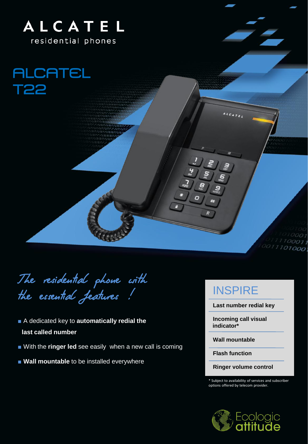

**ALCATEL** T22

The residential phone with the essential features !

- A dedicated key to **automatically redial the last called number**
- With the **ringer led** see easily when a new call is coming
- **Wall mountable** to be installed everywhere

## **INSPIRE**

**Last number redial key**

10001  $711100011$ 0011101000

**Incoming call visual indicator\***

**Wall mountable**

**Flash function**

**Ringer volume control**

\* Subject to availability of services and subscriber options offered by telecom provider.